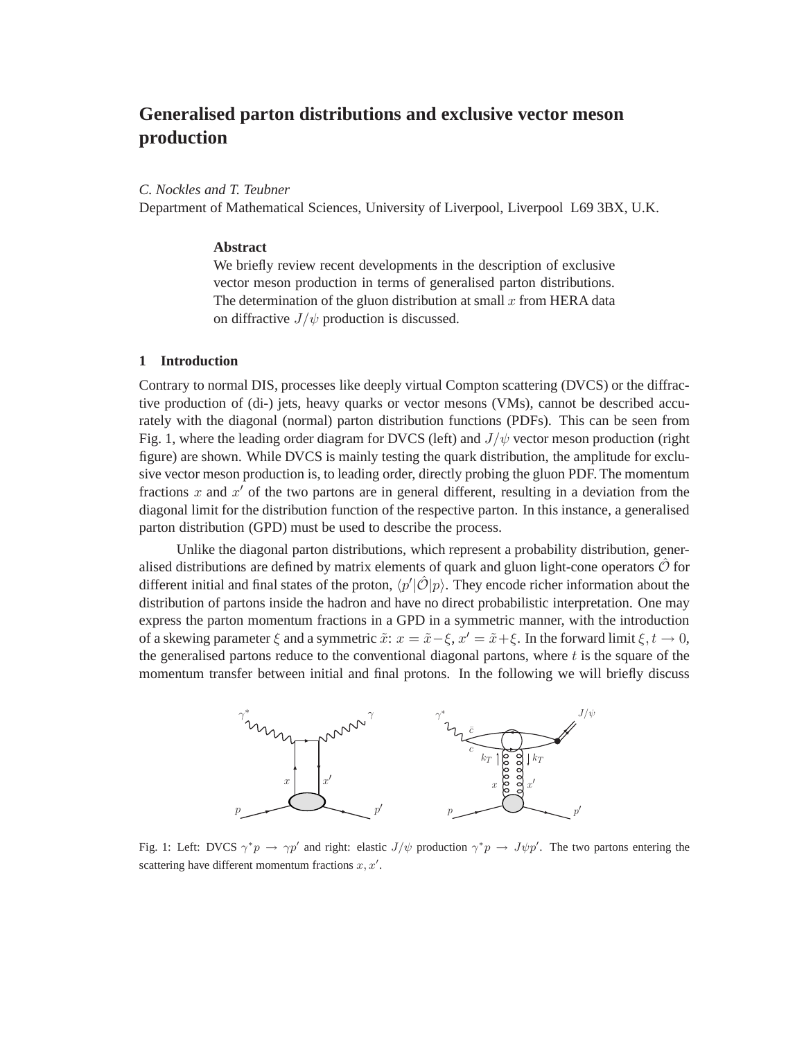# **Generalised parton distributions and exclusive vector meson production**

#### *C. Nockles and T. Teubner*

Department of Mathematical Sciences, University of Liverpool, Liverpool L69 3BX, U.K.

# **Abstract**

We briefly review recent developments in the description of exclusive vector meson production in terms of generalised parton distributions. The determination of the gluon distribution at small  $x$  from HERA data on diffractive  $J/\psi$  production is discussed.

# **1 Introduction**

Contrary to normal DIS, processes like deeply virtual Compton scattering (DVCS) or the diffractive production of (di-) jets, heavy quarks or vector mesons (VMs), cannot be described accurately with the diagonal (normal) parton distribution functions (PDFs). This can be seen from Fig. 1, where the leading order diagram for DVCS (left) and  $J/\psi$  vector meson production (right figure) are shown. While DVCS is mainly testing the quark distribution, the amplitude for exclusive vector meson production is, to leading order, directly probing the gluon PDF. The momentum fractions x and  $x'$  of the two partons are in general different, resulting in a deviation from the diagonal limit for the distribution function of the respective parton. In this instance, a generalised parton distribution (GPD) must be used to describe the process.

Unlike the diagonal parton distributions, which represent a probability distribution, generalised distributions are defined by matrix elements of quark and gluon light-cone operators  $\hat{\mathcal{O}}$  for different initial and final states of the proton,  $\langle p' | \hat{O} | p \rangle$ . They encode richer information about the distribution of partons inside the hadron and have no direct probabilistic interpretation. One may express the parton momentum fractions in a GPD in a symmetric manner, with the introduction of a skewing parameter  $\xi$  and a symmetric  $\tilde{x}$ :  $x = \tilde{x} - \xi$ ,  $x' = \tilde{x} + \xi$ . In the forward limit  $\xi, t \to 0$ , the generalised partons reduce to the conventional diagonal partons, where  $t$  is the square of the momentum transfer between initial and final protons. In the following we will briefly discuss



Fig. 1: Left: DVCS  $\gamma^* p \to \gamma p'$  and right: elastic  $J/\psi$  production  $\gamma^* p \to J \psi p'$ . The two partons entering the scattering have different momentum fractions  $x, x'$ .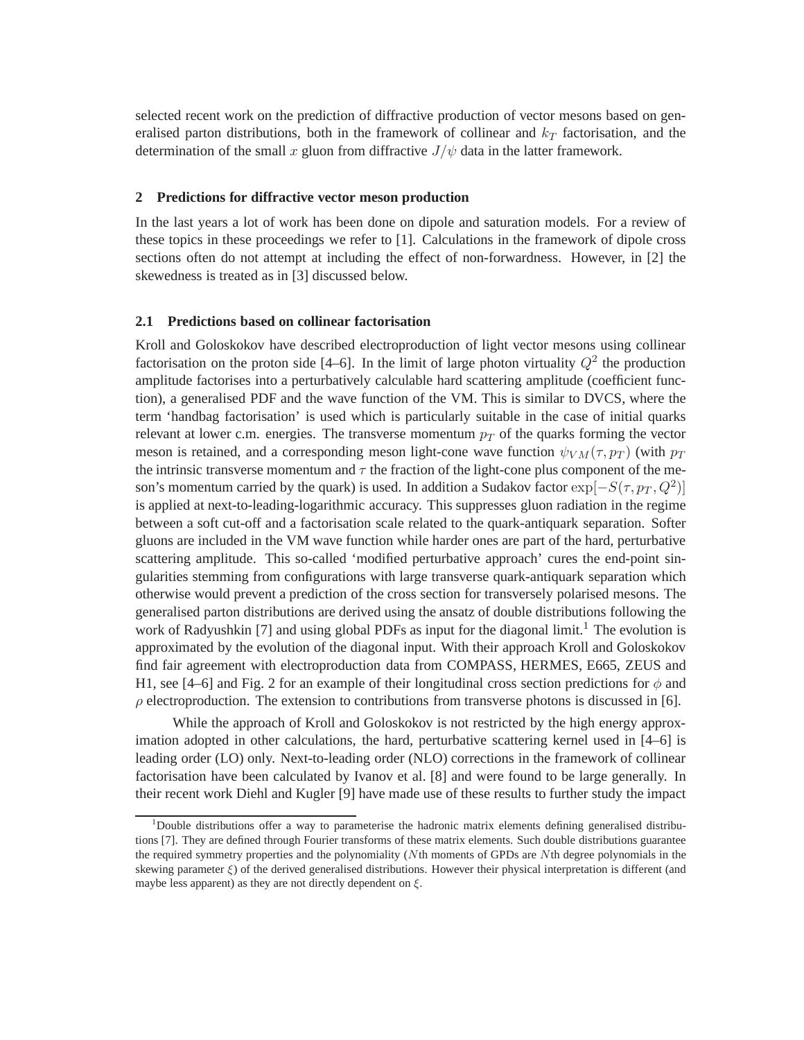selected recent work on the prediction of diffractive production of vector mesons based on generalised parton distributions, both in the framework of collinear and  $k_T$  factorisation, and the determination of the small x gluon from diffractive  $J/\psi$  data in the latter framework.

# **2 Predictions for diffractive vector meson production**

In the last years a lot of work has been done on dipole and saturation models. For a review of these topics in these proceedings we refer to [1]. Calculations in the framework of dipole cross sections often do not attempt at including the effect of non-forwardness. However, in [2] the skewedness is treated as in [3] discussed below.

## **2.1 Predictions based on collinear factorisation**

Kroll and Goloskokov have described electroproduction of light vector mesons using collinear factorisation on the proton side [4–6]. In the limit of large photon virtuality  $Q^2$  the production amplitude factorises into a perturbatively calculable hard scattering amplitude (coefficient function), a generalised PDF and the wave function of the VM. This is similar to DVCS, where the term 'handbag factorisation' is used which is particularly suitable in the case of initial quarks relevant at lower c.m. energies. The transverse momentum  $p_T$  of the quarks forming the vector meson is retained, and a corresponding meson light-cone wave function  $\psi_{VM}(\tau,p_T)$  (with  $p_T$ ) the intrinsic transverse momentum and  $\tau$  the fraction of the light-cone plus component of the meson's momentum carried by the quark) is used. In addition a Sudakov factor  $\exp[-S(\tau,p_T,Q^2)]$ is applied at next-to-leading-logarithmic accuracy. This suppresses gluon radiation in the regime between a soft cut-off and a factorisation scale related to the quark-antiquark separation. Softer gluons are included in the VM wave function while harder ones are part of the hard, perturbative scattering amplitude. This so-called 'modified perturbative approach' cures the end-point singularities stemming from configurations with large transverse quark-antiquark separation which otherwise would prevent a prediction of the cross section for transversely polarised mesons. The generalised parton distributions are derived using the ansatz of double distributions following the work of Radyushkin [7] and using global PDFs as input for the diagonal limit.<sup>1</sup> The evolution is approximated by the evolution of the diagonal input. With their approach Kroll and Goloskokov find fair agreement with electroproduction data from COMPASS, HERMES, E665, ZEUS and H1, see [4–6] and Fig. 2 for an example of their longitudinal cross section predictions for  $\phi$  and  $\rho$  electroproduction. The extension to contributions from transverse photons is discussed in [6].

While the approach of Kroll and Goloskokov is not restricted by the high energy approximation adopted in other calculations, the hard, perturbative scattering kernel used in [4–6] is leading order (LO) only. Next-to-leading order (NLO) corrections in the framework of collinear factorisation have been calculated by Ivanov et al. [8] and were found to be large generally. In their recent work Diehl and Kugler [9] have made use of these results to further study the impact

<sup>&</sup>lt;sup>1</sup>Double distributions offer a way to parameterise the hadronic matrix elements defining generalised distributions [7]. They are defined through Fourier transforms of these matrix elements. Such double distributions guarantee the required symmetry properties and the polynomiality (Nth moments of GPDs are Nth degree polynomials in the skewing parameter  $\xi$ ) of the derived generalised distributions. However their physical interpretation is different (and maybe less apparent) as they are not directly dependent on  $\xi$ .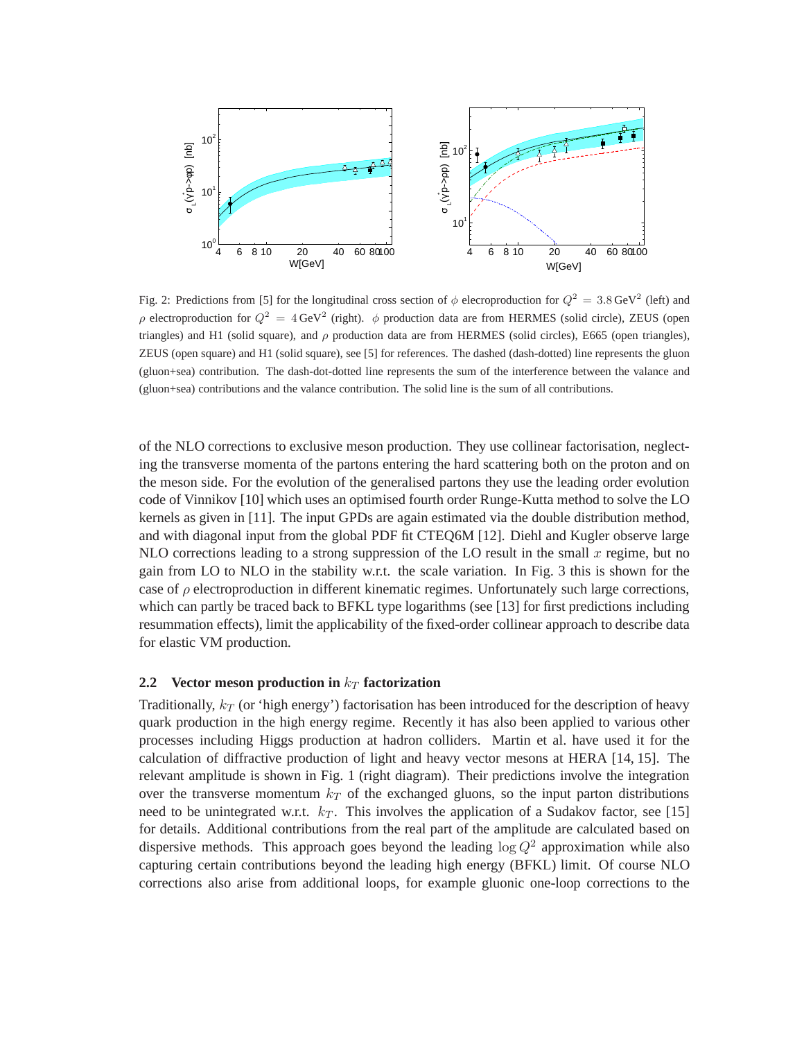

Fig. 2: Predictions from [5] for the longitudinal cross section of  $\phi$  elecroproduction for  $Q^2 = 3.8 \text{ GeV}^2$  (left) and ρ electroproduction for  $Q^2 = 4 \text{ GeV}^2$  (right). φ production data are from HERMES (solid circle), ZEUS (open triangles) and H1 (solid square), and  $\rho$  production data are from HERMES (solid circles), E665 (open triangles), ZEUS (open square) and H1 (solid square), see [5] for references. The dashed (dash-dotted) line represents the gluon (gluon+sea) contribution. The dash-dot-dotted line represents the sum of the interference between the valance and (gluon+sea) contributions and the valance contribution. The solid line is the sum of all contributions.

of the NLO corrections to exclusive meson production. They use collinear factorisation, neglecting the transverse momenta of the partons entering the hard scattering both on the proton and on the meson side. For the evolution of the generalised partons they use the leading order evolution code of Vinnikov [10] which uses an optimised fourth order Runge-Kutta method to solve the LO kernels as given in [11]. The input GPDs are again estimated via the double distribution method, and with diagonal input from the global PDF fit CTEQ6M [12]. Diehl and Kugler observe large NLO corrections leading to a strong suppression of the LO result in the small  $x$  regime, but no gain from LO to NLO in the stability w.r.t. the scale variation. In Fig. 3 this is shown for the case of  $\rho$  electroproduction in different kinematic regimes. Unfortunately such large corrections, which can partly be traced back to BFKL type logarithms (see [13] for first predictions including resummation effects), limit the applicability of the fixed-order collinear approach to describe data for elastic VM production.

#### **2.2** Vector meson production in  $k_T$  factorization

Traditionally,  $k_T$  (or 'high energy') factorisation has been introduced for the description of heavy quark production in the high energy regime. Recently it has also been applied to various other processes including Higgs production at hadron colliders. Martin et al. have used it for the calculation of diffractive production of light and heavy vector mesons at HERA [14, 15]. The relevant amplitude is shown in Fig. 1 (right diagram). Their predictions involve the integration over the transverse momentum  $k_T$  of the exchanged gluons, so the input parton distributions need to be unintegrated w.r.t.  $k_T$ . This involves the application of a Sudakov factor, see [15] for details. Additional contributions from the real part of the amplitude are calculated based on dispersive methods. This approach goes beyond the leading  $\log Q^2$  approximation while also capturing certain contributions beyond the leading high energy (BFKL) limit. Of course NLO corrections also arise from additional loops, for example gluonic one-loop corrections to the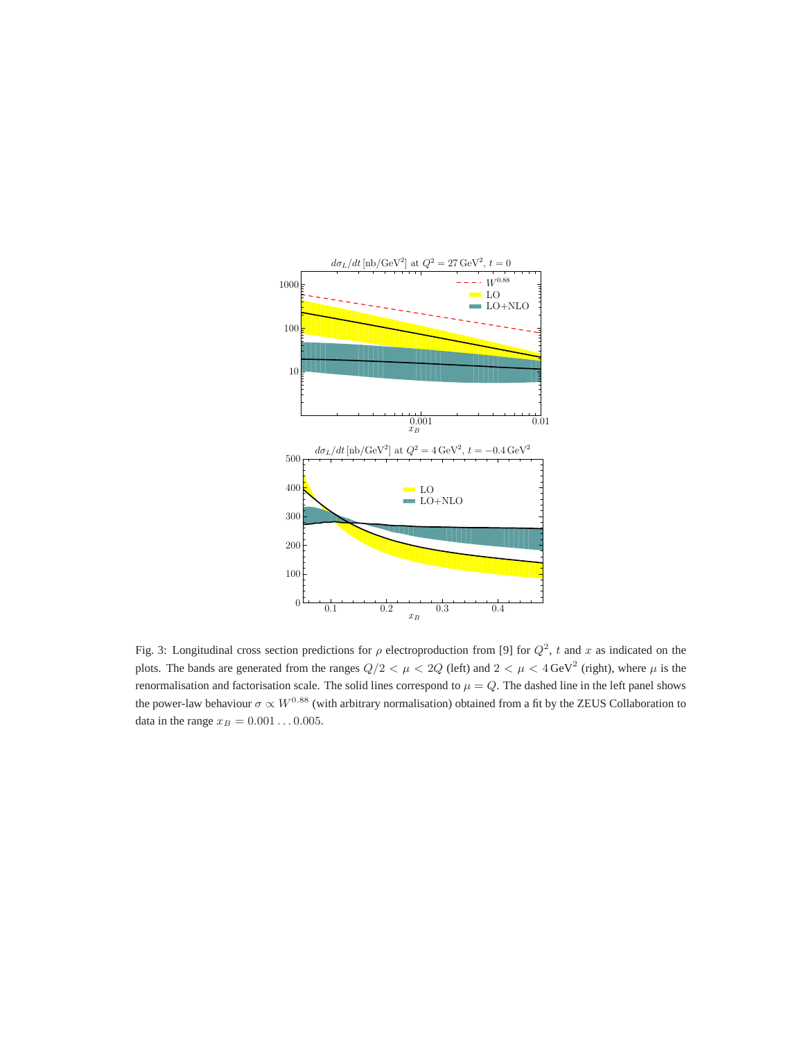

Fig. 3: Longitudinal cross section predictions for  $\rho$  electroproduction from [9] for  $Q^2$ , t and x as indicated on the plots. The bands are generated from the ranges  $Q/2 < \mu < 2Q$  (left) and  $2 < \mu < 4$  GeV<sup>2</sup> (right), where  $\mu$  is the renormalisation and factorisation scale. The solid lines correspond to  $\mu = Q$ . The dashed line in the left panel shows the power-law behaviour  $\sigma \propto W^{0.88}$  (with arbitrary normalisation) obtained from a fit by the ZEUS Collaboration to data in the range  $x_B = 0.001 \dots 0.005$ .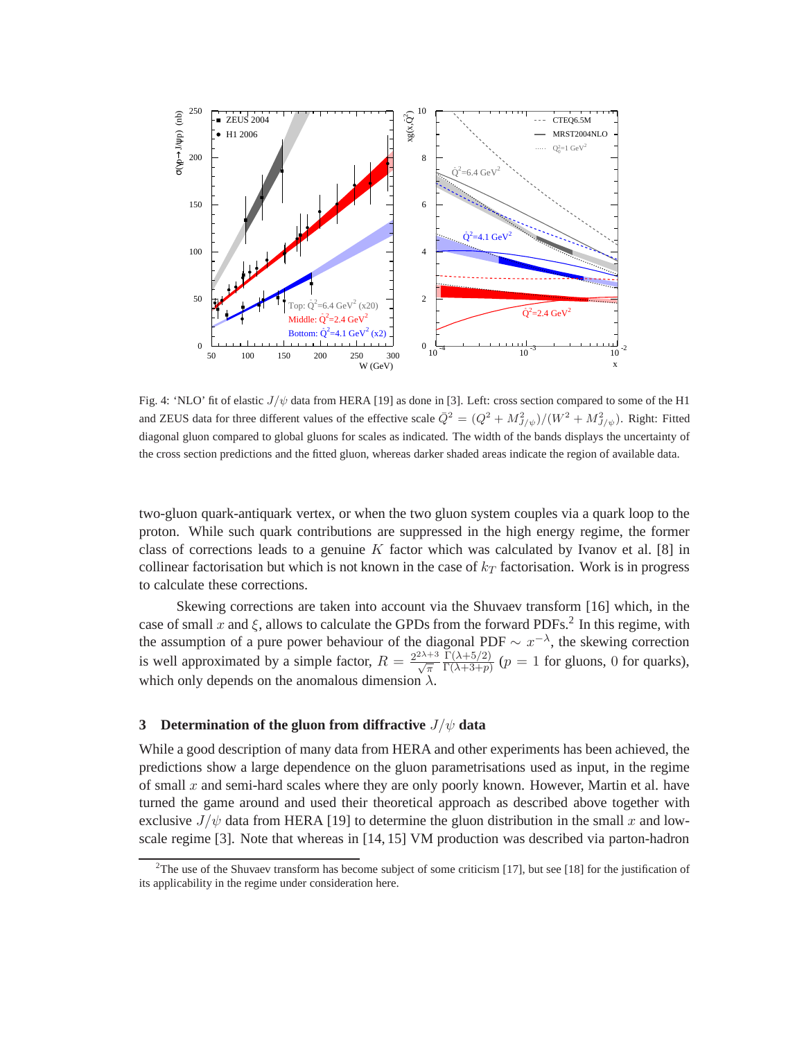

Fig. 4: 'NLO' fit of elastic  $J/\psi$  data from HERA [19] as done in [3]. Left: cross section compared to some of the H1 and ZEUS data for three different values of the effective scale  $\bar{Q}^2 = (Q^2 + M_{J/\psi}^2)/(W^2 + M_{J/\psi}^2)$ . Right: Fitted diagonal gluon compared to global gluons for scales as indicated. The width of the bands displays the uncertainty of the cross section predictions and the fitted gluon, whereas darker shaded areas indicate the region of available data.

two-gluon quark-antiquark vertex, or when the two gluon system couples via a quark loop to the proton. While such quark contributions are suppressed in the high energy regime, the former class of corrections leads to a genuine  $K$  factor which was calculated by Ivanov et al. [8] in collinear factorisation but which is not known in the case of  $k_T$  factorisation. Work is in progress to calculate these corrections.

Skewing corrections are taken into account via the Shuvaev transform [16] which, in the case of small x and  $\xi$ , allows to calculate the GPDs from the forward PDFs.<sup>2</sup> In this regime, with the assumption of a pure power behaviour of the diagonal PDF  $\sim x^{-\lambda}$ , the skewing correction is well approximated by a simple factor,  $R =$  $\frac{2^{2\lambda+3}}{\sqrt{\pi}}$  $\Gamma(\lambda+5/2)$  $\frac{\Gamma(\lambda+5/2)}{\Gamma(\lambda+3+p)}$  ( $p=1$  for gluons, 0 for quarks), which only depends on the anomalous dimension  $\lambda$ .

#### **3 Determination of the gluon from diffractive** J/ψ **data**

While a good description of many data from HERA and other experiments has been achieved, the predictions show a large dependence on the gluon parametrisations used as input, in the regime of small x and semi-hard scales where they are only poorly known. However, Martin et al. have turned the game around and used their theoretical approach as described above together with exclusive  $J/\psi$  data from HERA [19] to determine the gluon distribution in the small x and lowscale regime [3]. Note that whereas in [14, 15] VM production was described via parton-hadron

<sup>&</sup>lt;sup>2</sup>The use of the Shuvaev transform has become subject of some criticism [17], but see [18] for the justification of its applicability in the regime under consideration here.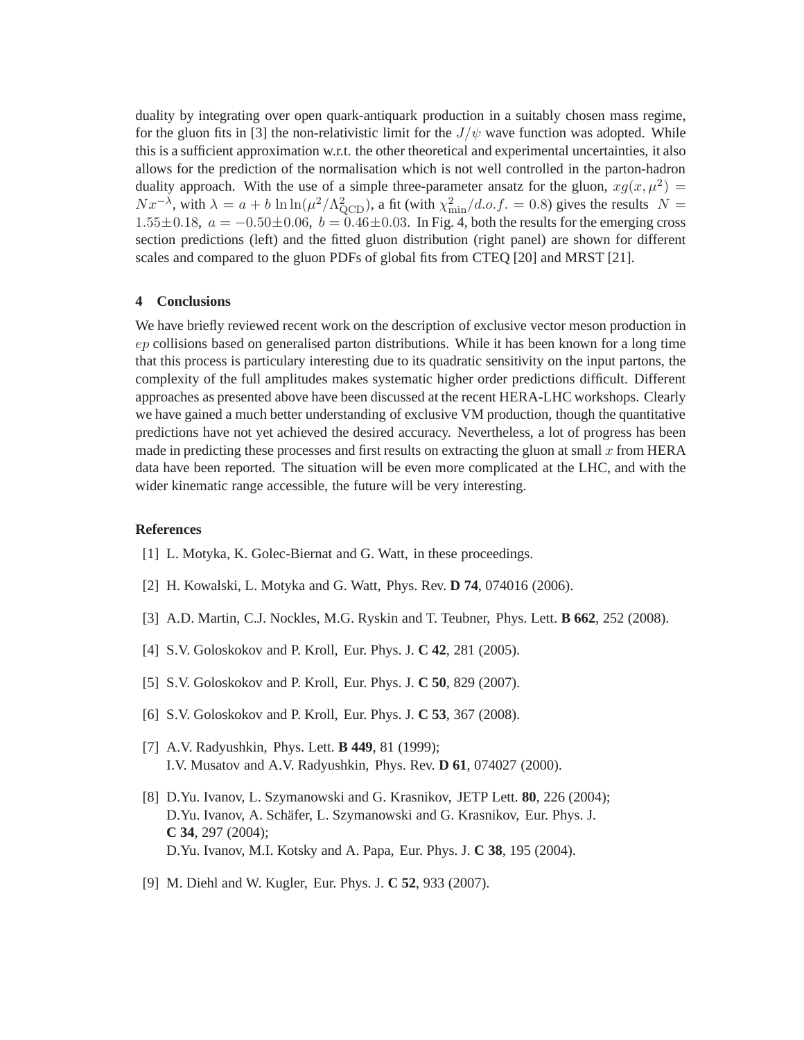duality by integrating over open quark-antiquark production in a suitably chosen mass regime, for the gluon fits in [3] the non-relativistic limit for the  $J/\psi$  wave function was adopted. While this is a sufficient approximation w.r.t. the other theoretical and experimental uncertainties, it also allows for the prediction of the normalisation which is not well controlled in the parton-hadron duality approach. With the use of a simple three-parameter ansatz for the gluon,  $xg(x, \mu^2)$  $Nx^{-\lambda}$ , with  $\lambda = a + b \ln \ln(\mu^2/\Lambda_{\text{QCD}}^2)$ , a fit (with  $\chi^2_{\text{min}}/d.o.f. = 0.8$ ) gives the results  $N =$ 1.55 $\pm$ 0.18,  $a = -0.50\pm0.06$ ,  $b = 0.46\pm0.03$ . In Fig. 4, both the results for the emerging cross section predictions (left) and the fitted gluon distribution (right panel) are shown for different scales and compared to the gluon PDFs of global fits from CTEQ [20] and MRST [21].

## **4 Conclusions**

We have briefly reviewed recent work on the description of exclusive vector meson production in ep collisions based on generalised parton distributions. While it has been known for a long time that this process is particulary interesting due to its quadratic sensitivity on the input partons, the complexity of the full amplitudes makes systematic higher order predictions difficult. Different approaches as presented above have been discussed at the recent HERA-LHC workshops. Clearly we have gained a much better understanding of exclusive VM production, though the quantitative predictions have not yet achieved the desired accuracy. Nevertheless, a lot of progress has been made in predicting these processes and first results on extracting the gluon at small  $x$  from HERA data have been reported. The situation will be even more complicated at the LHC, and with the wider kinematic range accessible, the future will be very interesting.

#### **References**

- [1] L. Motyka, K. Golec-Biernat and G. Watt, in these proceedings.
- [2] H. Kowalski, L. Motyka and G. Watt, Phys. Rev. **D 74**, 074016 (2006).
- [3] A.D. Martin, C.J. Nockles, M.G. Ryskin and T. Teubner, Phys. Lett. **B 662**, 252 (2008).
- [4] S.V. Goloskokov and P. Kroll, Eur. Phys. J. **C 42**, 281 (2005).
- [5] S.V. Goloskokov and P. Kroll, Eur. Phys. J. **C 50**, 829 (2007).
- [6] S.V. Goloskokov and P. Kroll, Eur. Phys. J. **C 53**, 367 (2008).
- [7] A.V. Radyushkin, Phys. Lett. **B 449**, 81 (1999); I.V. Musatov and A.V. Radyushkin, Phys. Rev. **D 61**, 074027 (2000).
- [8] D.Yu. Ivanov, L. Szymanowski and G. Krasnikov, JETP Lett. **80**, 226 (2004); D.Yu. Ivanov, A. Schäfer, L. Szymanowski and G. Krasnikov, Eur. Phys. J. **C 34**, 297 (2004); D.Yu. Ivanov, M.I. Kotsky and A. Papa, Eur. Phys. J. **C 38**, 195 (2004).
- [9] M. Diehl and W. Kugler, Eur. Phys. J. **C 52**, 933 (2007).